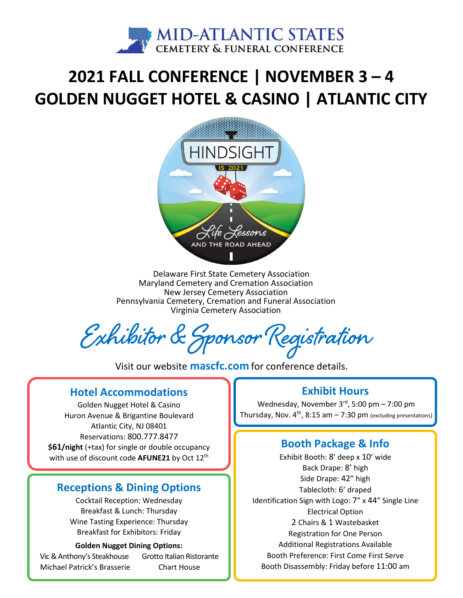

# **2021 FALL CONFERENCE | NOVEMBER 3 – 4 GOLDEN NUGGET HOTEL & CASINO | ATLANTIC CITY**



Delaware First State Cemetery Association Maryland Cemetery and Cremation Association New Jersey Cemetery Association Pennsylvania Cemetery, Cremation and Funeral Association Virginia Cemetery Association

**Exhibitor & Sponsor Registration**

Visit our website **[mascfc.com](https://mascfc.com)** for conference details.

#### **Hotel Accommodations**

Golden Nugget Hotel & Casino Huron Avenue & Brigantine Boulevard Atlantic City, NJ 08401 Reservations: 800.777.8477 **\$61/night** (+tax) for single or double occupancy with use of discount code **AFUNE21** by Oct 12<sup>th</sup>

#### **Receptions & Dining Options**

Cocktail Reception: Wednesday Breakfast & Lunch: Thursday Wine Tasting Experience: Thursday Breakfast for Exhibitors: Friday

#### **Golden Nugget Dining Options:**

Vic & Anthony's Steakhouse Grotto Italian Ristorante Michael Patrick's Brasserie Chart House

#### **Exhibit Hours**

Wednesday, November  $3^{rd}$ , 5:00 pm – 7:00 pm Thursday, Nov.  $4^{th}$ , 8:15 am  $- 7:30$  pm (excluding presentations)

#### **Booth Package & Info**

Exhibit Booth: 8' deep x 10' wide Back Drape: 8' high Side Drape: 42" high Tablecloth: 6' draped Identification Sign with Logo: 7" x 44" Single Line Electrical Option 2 Chairs & 1 Wastebasket Registration for One Person Additional Registrations Available Booth Preference: First Come First Serve Booth Disassembly: Friday before 11:00 am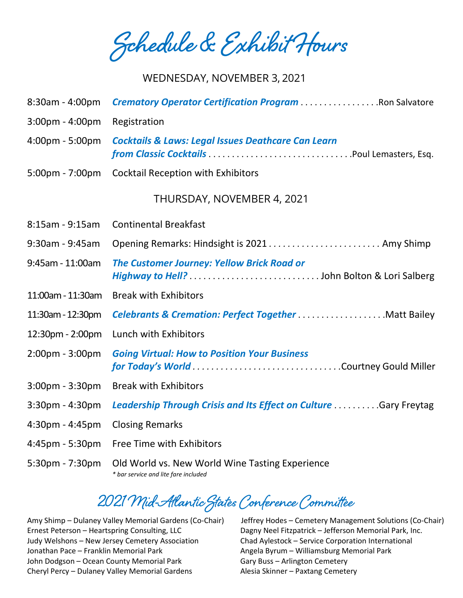**Schedule & Exhibit Hours**

#### WEDNESDAY, NOVEMBER 3, 2021

| 8:30am - 4:00pm                   | <b>Crematory Operator Certification Program Ron Salvatore</b>                                  |
|-----------------------------------|------------------------------------------------------------------------------------------------|
| 3:00pm - 4:00pm                   | Registration                                                                                   |
| 4:00pm - 5:00pm                   | <b>Cocktails &amp; Laws: Legal Issues Deathcare Can Learn</b>                                  |
| $5:00 \text{pm} - 7:00 \text{pm}$ | <b>Cocktail Reception with Exhibitors</b>                                                      |
|                                   | THURSDAY, NOVEMBER 4, 2021                                                                     |
| 8:15am - 9:15am                   | <b>Continental Breakfast</b>                                                                   |
| 9:30am - 9:45am                   | Opening Remarks: Hindsight is 2021 Amy Shimp                                                   |
| 9:45am - 11:00am                  | <b>The Customer Journey: Yellow Brick Road or</b>                                              |
| 11:00am - 11:30am                 | <b>Break with Exhibitors</b>                                                                   |
| 11:30am - 12:30pm                 | <b>Celebrants &amp; Cremation: Perfect TogetherMatt Bailey</b>                                 |
| 12:30pm - 2:00pm                  | Lunch with Exhibitors                                                                          |
| 2:00pm - 3:00pm                   | <b>Going Virtual: How to Position Your Business</b><br>for Today's World Courtney Gould Miller |
| $3:00$ pm - $3:30$ pm             | <b>Break with Exhibitors</b>                                                                   |
| 3:30pm - 4:30pm                   | Leadership Through Crisis and Its Effect on Culture  Gary Freytag                              |
| 4:30pm - 4:45pm                   | <b>Closing Remarks</b>                                                                         |
| 4:45pm - 5:30pm                   | Free Time with Exhibitors                                                                      |
| 5:30pm - 7:30pm                   | Old World vs. New World Wine Tasting Experience<br>* bar service and lite fare included        |

## **2021 Mid-Atlantic States Conference Committee**

Ernest Peterson – Heartspring Consulting, LLC Dagny Neel Fitzpatrick – Jefferson Memorial Park, Inc. Judy Welshons – New Jersey Cemetery Association Chad Aylestock – Service Corporation International Jonathan Pace – Franklin Memorial Park **Angela Byrum – Williamsburg Memorial Park** John Dodgson – Ocean County Memorial Park Gary Buss – Arlington Cemetery Cheryl Percy – Dulaney Valley Memorial Gardens Alesia Skinner – Paxtang Cemetery

Amy Shimp – Dulaney Valley Memorial Gardens (Co-Chair) Jeffrey Hodes – Cemetery Management Solutions (Co-Chair)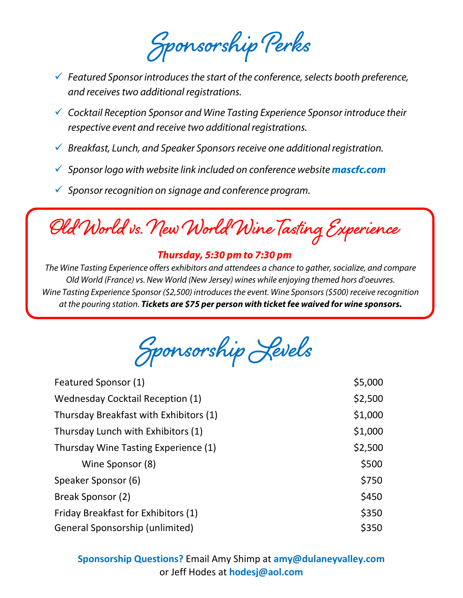**Sponsorship Perks** 

- *Featured Sponsor introduces the start of the conference, selects booth preference, and receives two additional registrations.*
- *Cocktail Reception Sponsor and Wine Tasting Experience Sponsor introduce their respective event and receive two additional registrations.*
- *Breakfast, Lunch, and Speaker Sponsors receive one additional registration.*
- *Sponsor logo with website link included on conference website [mascfc.com](https://mascfc.com)*
- *Sponsor recognition on signage and conference program.*

**Old World vs. New World Wine Tasting Experience**

#### *Thursday, 5:30 pm to 7:30 pm*

*The Wine Tasting Experience offers exhibitors and attendees a chance to gather, socialize, and compare Old World (France) vs. New World (New Jersey) wines while enjoying themed hors d'oeuvres. Wine Tasting Experience Sponsor (\$2,500) introduces the event. Wine Sponsors (\$500) receive recognition at the pouring station. Tickets are \$75 per person with ticket fee waived for wine sponsors.*

**Sponsorship Levels**

| Featured Sponsor (1)                    | \$5,000 |
|-----------------------------------------|---------|
| <b>Wednesday Cocktail Reception (1)</b> | \$2,500 |
| Thursday Breakfast with Exhibitors (1)  | \$1,000 |
| Thursday Lunch with Exhibitors (1)      | \$1,000 |
| Thursday Wine Tasting Experience (1)    | \$2,500 |
| Wine Sponsor (8)                        | \$500   |
| Speaker Sponsor (6)                     | \$750   |
| Break Sponsor (2)                       | \$450   |
| Friday Breakfast for Exhibitors (1)     | \$350   |
| General Sponsorship (unlimited)         | \$350   |

**Sponsorship Questions?** Email Amy Shimp at **[amy@dulaneyvalley.com](mailto:amy@dulaneyvalley.com)** or Jeff Hodes at **[hodesj@aol.com](mailto:hodesj@aol.com)**